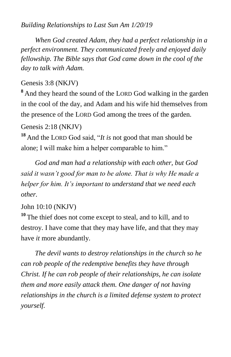## *Building Relationships to Last Sun Am 1/20/19*

 *When God created Adam, they had a perfect relationship in a perfect environment. They communicated freely and enjoyed daily fellowship. The Bible says that God came down in the cool of the day to talk with Adam.*

## Genesis 3:8 (NKJV)

**<sup>8</sup>** And they heard the sound of the LORD God walking in the garden in the cool of the day, and Adam and his wife hid themselves from the presence of the LORD God among the trees of the garden.

## Genesis 2:18 (NKJV)

**<sup>18</sup>** And the LORD God said, "*It is* not good that man should be alone; I will make him a helper comparable to him."

 *God and man had a relationship with each other, but God said it wasn't good for man to be alone. That is why He made a helper for him. It's important to understand that we need each other.*

## John 10:10 (NKJV)

**<sup>10</sup>** The thief does not come except to steal, and to kill, and to destroy. I have come that they may have life, and that they may have *it* more abundantly.

 *The devil wants to destroy relationships in the church so he can rob people of the redemptive benefits they have through Christ. If he can rob people of their relationships, he can isolate them and more easily attack them. One danger of not having relationships in the church is a limited defense system to protect yourself.*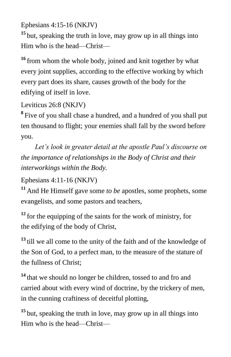Ephesians 4:15-16 (NKJV)

**<sup>15</sup>** but, speaking the truth in love, may grow up in all things into Him who is the head—Christ—

**<sup>16</sup>** from whom the whole body, joined and knit together by what every joint supplies, according to the effective working by which every part does its share, causes growth of the body for the edifying of itself in love.

Leviticus 26:8 (NKJV)

**8** Five of you shall chase a hundred, and a hundred of you shall put ten thousand to flight; your enemies shall fall by the sword before you.

 *Let's look in greater detail at the apostle Paul's discourse on the importance of relationships in the Body of Christ and their interworkings within the Body.*

Ephesians 4:11-16 (NKJV)

**<sup>11</sup>** And He Himself gave some *to be* apostles, some prophets, some evangelists, and some pastors and teachers,

<sup>12</sup> for the equipping of the saints for the work of ministry, for the edifying of the body of Christ,

**<sup>13</sup>** till we all come to the unity of the faith and of the knowledge of the Son of God, to a perfect man, to the measure of the stature of the fullness of Christ;

**<sup>14</sup>** that we should no longer be children, tossed to and fro and carried about with every wind of doctrine, by the trickery of men, in the cunning craftiness of deceitful plotting,

**<sup>15</sup>** but, speaking the truth in love, may grow up in all things into Him who is the head—Christ—